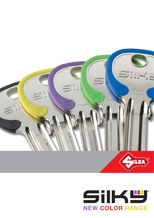

# SiIKW **NEW COLOR RANGE**